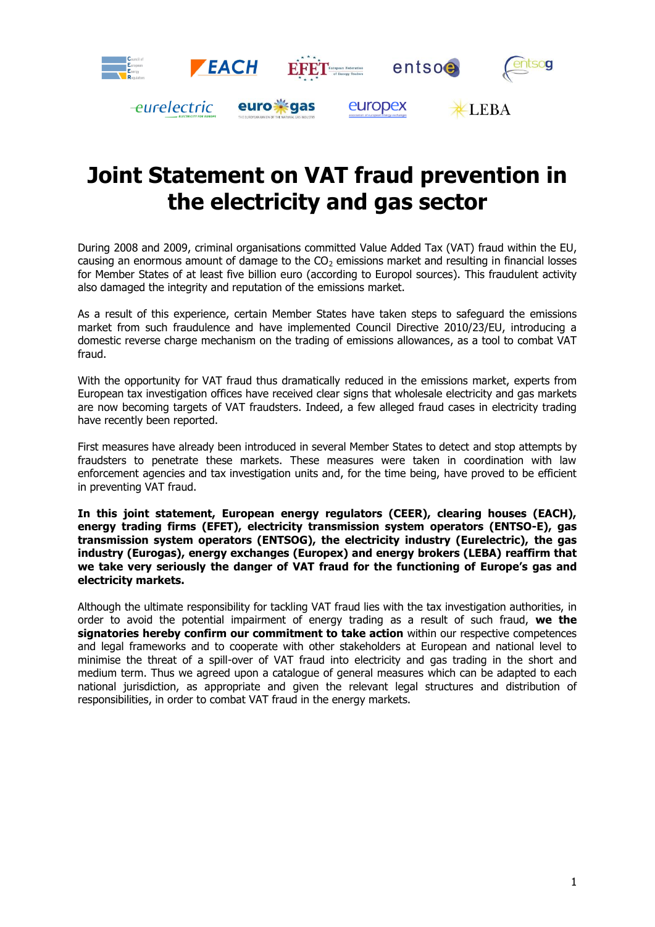

# **Joint Statement on VAT fraud prevention in the electricity and gas sector**

During 2008 and 2009, criminal organisations committed Value Added Tax (VAT) fraud within the EU, causing an enormous amount of damage to the  $CO<sub>2</sub>$  emissions market and resulting in financial losses for Member States of at least five billion euro (according to Europol sources). This fraudulent activity also damaged the integrity and reputation of the emissions market.

As a result of this experience, certain Member States have taken steps to safeguard the emissions market from such fraudulence and have implemented Council Directive 2010/23/EU, introducing a domestic reverse charge mechanism on the trading of emissions allowances, as a tool to combat VAT fraud.

With the opportunity for VAT fraud thus dramatically reduced in the emissions market, experts from European tax investigation offices have received clear signs that wholesale electricity and gas markets are now becoming targets of VAT fraudsters. Indeed, a few alleged fraud cases in electricity trading have recently been reported.

First measures have already been introduced in several Member States to detect and stop attempts by fraudsters to penetrate these markets. These measures were taken in coordination with law enforcement agencies and tax investigation units and, for the time being, have proved to be efficient in preventing VAT fraud.

**In this joint statement, European energy regulators (CEER), clearing houses (EACH), energy trading firms (EFET), electricity transmission system operators (ENTSO-E), gas transmission system operators (ENTSOG), the electricity industry (Eurelectric), the gas industry (Eurogas), energy exchanges (Europex) and energy brokers (LEBA) reaffirm that we take very seriously the danger of VAT fraud for the functioning of Europe's gas and electricity markets.** 

Although the ultimate responsibility for tackling VAT fraud lies with the tax investigation authorities, in order to avoid the potential impairment of energy trading as a result of such fraud, **we the signatories hereby confirm our commitment to take action** within our respective competences and legal frameworks and to cooperate with other stakeholders at European and national level to minimise the threat of a spill-over of VAT fraud into electricity and gas trading in the short and medium term. Thus we agreed upon a catalogue of general measures which can be adapted to each national jurisdiction, as appropriate and given the relevant legal structures and distribution of responsibilities, in order to combat VAT fraud in the energy markets.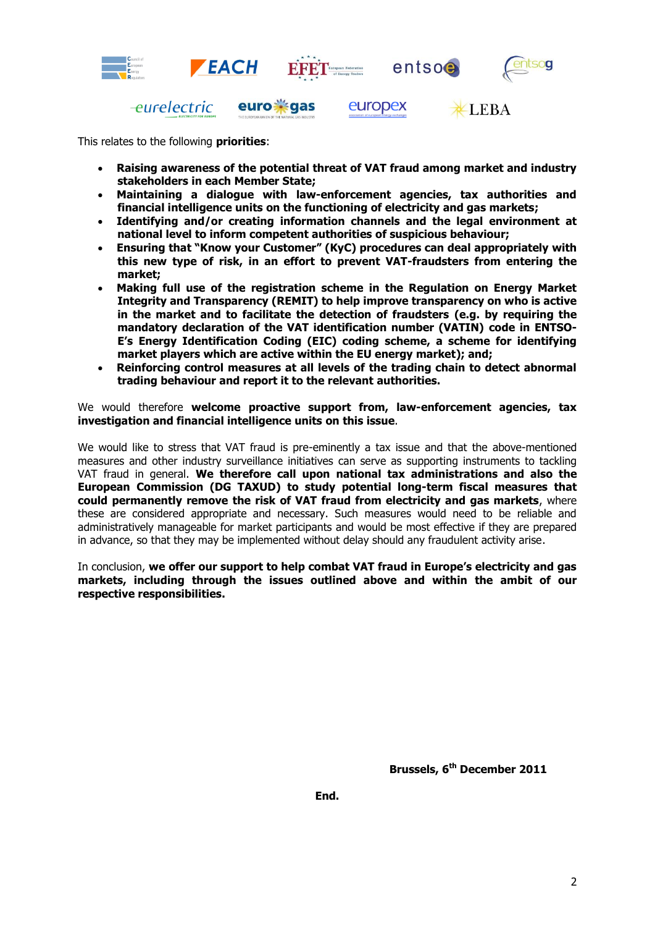

This relates to the following **priorities**:

- **Raising awareness of the potential threat of VAT fraud among market and industry stakeholders in each Member State;**
- **Maintaining a dialogue with law-enforcement agencies, tax authorities and financial intelligence units on the functioning of electricity and gas markets;**
- **Identifying and/or creating information channels and the legal environment at national level to inform competent authorities of suspicious behaviour;**
- **Ensuring that "Know your Customer" (KyC) procedures can deal appropriately with this new type of risk, in an effort to prevent VAT-fraudsters from entering the market;**
- **Making full use of the registration scheme in the Regulation on Energy Market Integrity and Transparency (REMIT) to help improve transparency on who is active in the market and to facilitate the detection of fraudsters (e.g. by requiring the mandatory declaration of the VAT identification number (VATIN) code in ENTSO-E's Energy Identification Coding (EIC) coding scheme, a scheme for identifying market players which are active within the EU energy market); and;**
- **Reinforcing control measures at all levels of the trading chain to detect abnormal trading behaviour and report it to the relevant authorities.**

We would therefore **welcome proactive support from, law-enforcement agencies, tax investigation and financial intelligence units on this issue**.

We would like to stress that VAT fraud is pre-eminently a tax issue and that the above-mentioned measures and other industry surveillance initiatives can serve as supporting instruments to tackling VAT fraud in general. **We therefore call upon national tax administrations and also the European Commission (DG TAXUD) to study potential long-term fiscal measures that could permanently remove the risk of VAT fraud from electricity and gas markets**, where these are considered appropriate and necessary. Such measures would need to be reliable and administratively manageable for market participants and would be most effective if they are prepared in advance, so that they may be implemented without delay should any fraudulent activity arise.

In conclusion, **we offer our support to help combat VAT fraud in Europe's electricity and gas markets, including through the issues outlined above and within the ambit of our respective responsibilities.**

**Brussels, 6th December 2011**

**End.**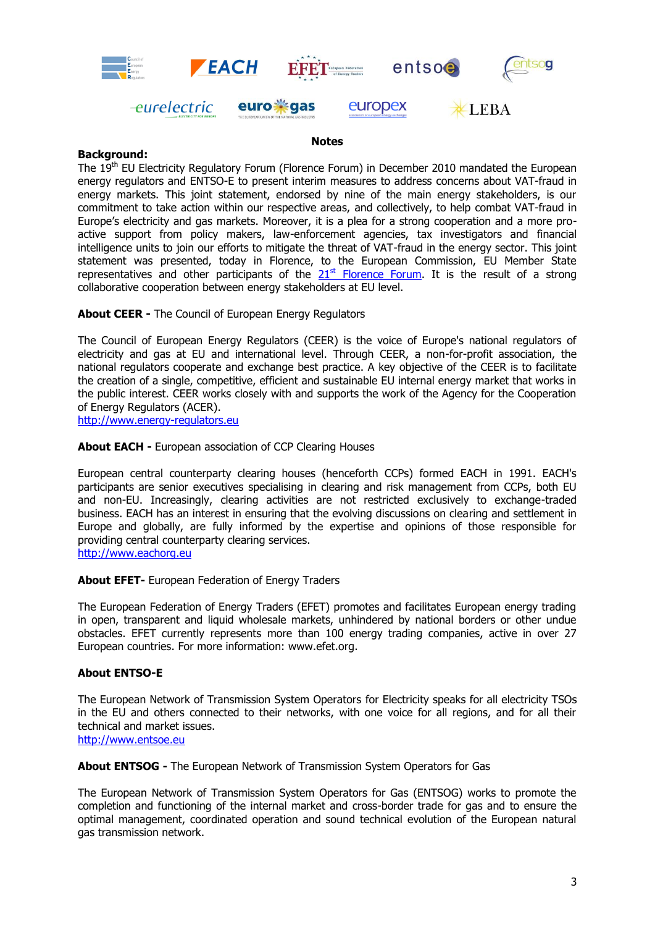

#### **Notes**

## **Background:**

The 19<sup>th</sup> EU Electricity Regulatory Forum (Florence Forum) in December 2010 mandated the European energy regulators and ENTSO-E to present interim measures to address concerns about VAT-fraud in energy markets. This joint statement, endorsed by nine of the main energy stakeholders, is our commitment to take action within our respective areas, and collectively, to help combat VAT-fraud in Europe's electricity and gas markets. Moreover, it is a plea for a strong cooperation and a more proactive support from policy makers, law-enforcement agencies, tax investigators and financial intelligence units to join our efforts to mitigate the threat of VAT-fraud in the energy sector. This joint statement was presented, today in Florence, to the European Commission, EU Member State representatives and other participants of the  $21<sup>st</sup>$  [Florence Forum.](http://ec.europa.eu/energy/gas_electricity/forum_electricity_florence_en.htm) It is the result of a strong collaborative cooperation between energy stakeholders at EU level.

**About CEER -** The Council of European Energy Regulators

The Council of European Energy Regulators (CEER) is the voice of Europe's national regulators of electricity and gas at EU and international level. Through CEER, a non-for-profit association, the national regulators cooperate and exchange best practice. A key objective of the CEER is to facilitate the creation of a single, competitive, efficient and sustainable EU internal energy market that works in the public interest. CEER works closely with and supports the work of the Agency for the Cooperation of Energy Regulators (ACER).

[http://www.energy-regulators.eu](http://www.energy-regulators.eu/)

**About EACH -** European association of CCP Clearing Houses

European central counterparty clearing houses (henceforth CCPs) formed EACH in 1991. EACH's participants are senior executives specialising in clearing and risk management from CCPs, both EU and non-EU. Increasingly, clearing activities are not restricted exclusively to exchange-traded business. EACH has an interest in ensuring that the evolving discussions on clearing and settlement in Europe and globally, are fully informed by the expertise and opinions of those responsible for providing central counterparty clearing services.

[http://www.eachorg.eu](http://www.eachorg.eu/)

## **About EFET-** European Federation of Energy Traders

The European Federation of Energy Traders (EFET) promotes and facilitates European energy trading in open, transparent and liquid wholesale markets, unhindered by national borders or other undue obstacles. EFET currently represents more than 100 energy trading companies, active in over 27 European countries. For more information: [www.efet.org.](http://www.efet.org/)

## **About ENTSO-E**

The European Network of Transmission System Operators for Electricity speaks for all electricity TSOs in the EU and others connected to their networks, with one voice for all regions, and for all their technical and market issues.

[http://www.entsoe.eu](http://www.entsoe.eu/)

**About ENTSOG -** The European Network of Transmission System Operators for Gas

The European Network of Transmission System Operators for Gas (ENTSOG) works to promote the completion and functioning of the internal market and cross-border trade for gas and to ensure the optimal management, coordinated operation and sound technical evolution of the European natural gas transmission network.